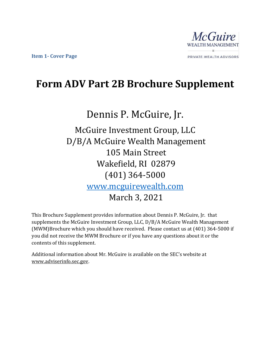

## **Form ADV Part 2B Brochure Supplement**

# Dennis P. McGuire, Jr.

McGuire Investment Group, LLC D/B/A McGuire Wealth Management 105 Main Street Wakefield, RI 02879 (401) 364-5000 [www.mcguirewealth.com](http://www.mcguirewealth.com/) March 3, 2021

This Brochure Supplement provides information about Dennis P. McGuire, Jr. that supplements the McGuire Investment Group, LLC, D/B/A McGuire Wealth Management (MWM)Brochure which you should have received. Please contact us at (401) 364-5000 if you did not receive the MWM Brochure or if you have any questions about it or the contents of this supplement.

Additional information about Mr. McGuire is available on the SEC's website at www.adviserinfo.sec.gov.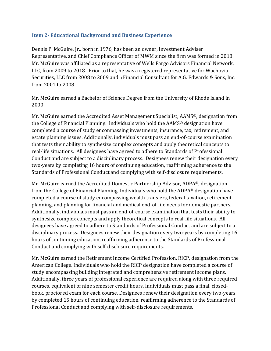#### **Item 2- Educational Background and Business Experience**

Dennis P. McGuire, Jr., born in 1976, has been an owner, Investment Adviser Representative, and Chief Compliance Officer of MWM since the firm was formed in 2018. Mr. McGuire was affiliated as a representative of Wells Fargo Advisors Financial Network, LLC, from 2009 to 2018. Prior to that, he was a registered representative for Wachovia Securities, LLC from 2008 to 2009 and a Financial Consultant for A.G. Edwards & Sons, Inc. from 2001 to 2008

Mr. McGuire earned a Bachelor of Science Degree from the University of Rhode Island in 2000.

Mr. McGuire earned the Accredited Asset Management Specialist, AAMS®, designation from the College of Financial Planning. Individuals who hold the AAMS® designation have completed a course of study encompassing investments, insurance, tax, retirement, and estate planning issues. Additionally, individuals must pass an end-of-course examination that tests their ability to synthesize complex concepts and apply theoretical concepts to real-life situations. All designees have agreed to adhere to Standards of Professional Conduct and are subject to a disciplinary process. Designees renew their designation every two-years by completing 16 hours of continuing education, reaffirming adherence to the Standards of Professional Conduct and complying with self-disclosure requirements.

Mr. McGuire earned the Accredited Domestic Partnership Advisor, ADPA®, designation from the College of Financial Planning. Individuals who hold the ADPA® designation have completed a course of study encompassing wealth transfers, federal taxation, retirement planning, and planning for financial and medical end-of-life needs for domestic partners. Additionally, individuals must pass an end-of-course examination that tests their ability to synthesize complex concepts and apply theoretical concepts to real-life situations. All designees have agreed to adhere to Standards of Professional Conduct and are subject to a disciplinary process. Designees renew their designation every two-years by completing 16 hours of continuing education, reaffirming adherence to the Standards of Professional Conduct and complying with self-disclosure requirements.

Mr. McGuire earned the Retirement Income Certified Profession, RICP, designation from the American College. Individuals who hold the RICP designation have completed a course of study encompassing building integrated and comprehensive retirement income plans. Additionally, three years of professional experience are required along with three required courses, equivalent of nine semester credit hours. Individuals must pass a final, closedbook, proctored exam for each course. Designees renew their designation every two-years by completed 15 hours of continuing education, reaffirming adherence to the Standards of Professional Conduct and complying with self-disclosure requirements.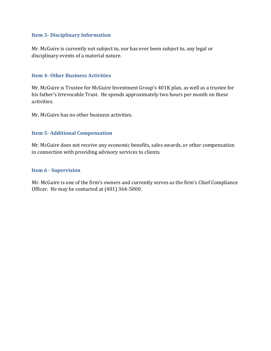#### **Item 3- Disciplinary Information**

Mr. McGuire is currently not subject to, nor has ever been subject to, any legal or disciplinary events of a material nature.

#### **Item 4- Other Business Activities**

Mr. McGuire is Trustee for McGuire Investment Group's 401K plan, as well as a trustee for his father's Irrevocable Trust. He spends approximately two hours per month on these activities.

Mr. McGuire has no other business activities.

#### **Item 5- Additional Compensation**

Mr. McGuire does not receive any economic benefits, sales awards, or other compensation in connection with providing advisory services to clients.

#### **Item 6 - Supervision**

Mr. McGuire is one of the firm's owners and currently serves as the firm's Chief Compliance Officer. He may be contacted at (401) 364-5000.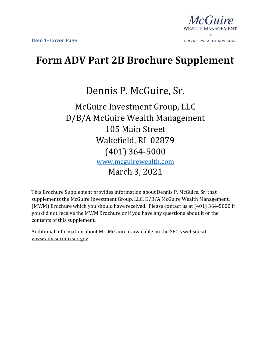

## **Form ADV Part 2B Brochure Supplement**

Dennis P. McGuire, Sr.

### McGuire Investment Group, LLC D/B/A McGuire Wealth Management 105 Main Street Wakefield, RI 02879 (401) 364-5000 [www.mcguirewealth.com](http://www.mcguirewealth.com/)  March 3, 2021

This Brochure Supplement provides information about Dennis P. McGuire, Sr. that supplements the McGuire Investment Group, LLC, D/B/A McGuire Wealth Management, (MWM) Brochure which you should have received. Please contact us at (401) 364-5000 if you did not receive the MWM Brochure or if you have any questions about it or the contents of this supplement.

Additional information about Mr. McGuire is available on the SEC's website at www.adviserinfo.sec.gov.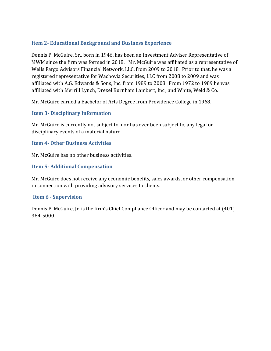#### **Item 2- Educational Background and Business Experience**

Dennis P. McGuire, Sr., born in 1946, has been an Investment Adviser Representative of MWM since the firm was formed in 2018. Mr. McGuire was affiliated as a representative of Wells Fargo Advisors Financial Network, LLC, from 2009 to 2018. Prior to that, he was a registered representative for Wachovia Securities, LLC from 2008 to 2009 and was affiliated with A.G. Edwards & Sons, Inc. from 1989 to 2008. From 1972 to 1989 he was affiliated with Merrill Lynch, Drexel Burnham Lambert, Inc., and White, Weld & Co.

Mr. McGuire earned a Bachelor of Arts Degree from Providence College in 1968.

#### **Item 3- Disciplinary Information**

Mr. McGuire is currently not subject to, nor has ever been subject to, any legal or disciplinary events of a material nature.

#### **Item 4- Other Business Activities**

Mr. McGuire has no other business activities.

#### **Item 5- Additional Compensation**

Mr. McGuire does not receive any economic benefits, sales awards, or other compensation in connection with providing advisory services to clients.

#### **Item 6 - Supervision**

Dennis P. McGuire, Jr. is the firm's Chief Compliance Officer and may be contacted at (401) 364-5000.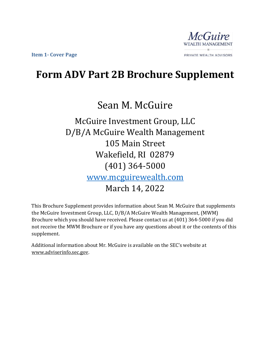

### **Form ADV Part 2B Brochure Supplement**

## Sean M. McGuire

McGuire Investment Group, LLC D/B/A McGuire Wealth Management 105 Main Street Wakefield, RI 02879 (401) 364-5000 [www.mcguirewealth.com](http://www.mcguirewealth.com/)  March 14, 2022

This Brochure Supplement provides information about Sean M. McGuire that supplements the McGuire Investment Group, LLC, D/B/A McGuire Wealth Management, (MWM) Brochure which you should have received. Please contact us at (401) 364-5000 if you did not receive the MWM Brochure or if you have any questions about it or the contents of this supplement.

Additional information about Mr. McGuire is available on the SEC's website at www.adviserinfo.sec.gov.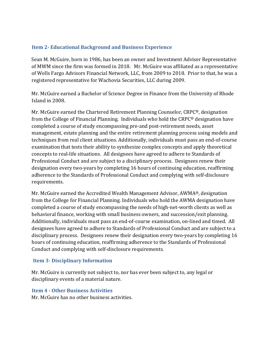#### **Item 2- Educational Background and Business Experience**

Sean M. McGuire, born in 1986, has been an owner and Investment Adviser Representative of MWM since the firm was formed in 2018. Mr. McGuire was affiliated as a representative of Wells Fargo Advisors Financial Network, LLC, from 2009 to 2018. Prior to that, he was a registered representative for Wachovia Securities, LLC during 2009.

Mr. McGuire earned a Bachelor of Science Degree in Finance from the University of Rhode Island in 2008.

Mr. McGuire earned the Chartered Retirement Planning Counselor, CRPC®, designation from the College of Financial Planning. Individuals who hold the CRPC® designation have completed a course of study encompassing pre-and post-retirement needs, asset management, estate planning and the entire retirement planning process using models and techniques from real client situations. Additionally, individuals must pass an end-of-course examination that tests their ability to synthesize complex concepts and apply theoretical concepts to real-life situations. All designees have agreed to adhere to Standards of Professional Conduct and are subject to a disciplinary process. Designees renew their designation every two-years by completing 16 hours of continuing education, reaffirming adherence to the Standards of Professional Conduct and complying with self-disclosure requirements.

Mr. McGuire earned the Accredited Wealth Management Advisor, AWMA®, designation from the College for Financial Planning. Individuals who hold the AWMA designation have completed a course of study encompassing the needs of high-net-worth clients as well as behavioral finance, working with small business owners, and succession/exit planning. Additionally, individuals must pass an end-of-course examination, on-lined and timed. All designees have agreed to adhere to Standards of Professional Conduct and are subject to a disciplinary process. Designees renew their designation every two-years by completing 16 hours of continuing education, reaffirming adherence to the Standards of Professional Conduct and complying with self-disclosure requirements.

#### **Item 3- Disciplinary Information**

Mr. McGuire is currently not subject to, nor has ever been subject to, any legal or disciplinary events of a material nature.

#### **Item 4 - Other Business Activities**

Mr. McGuire has no other business activities.